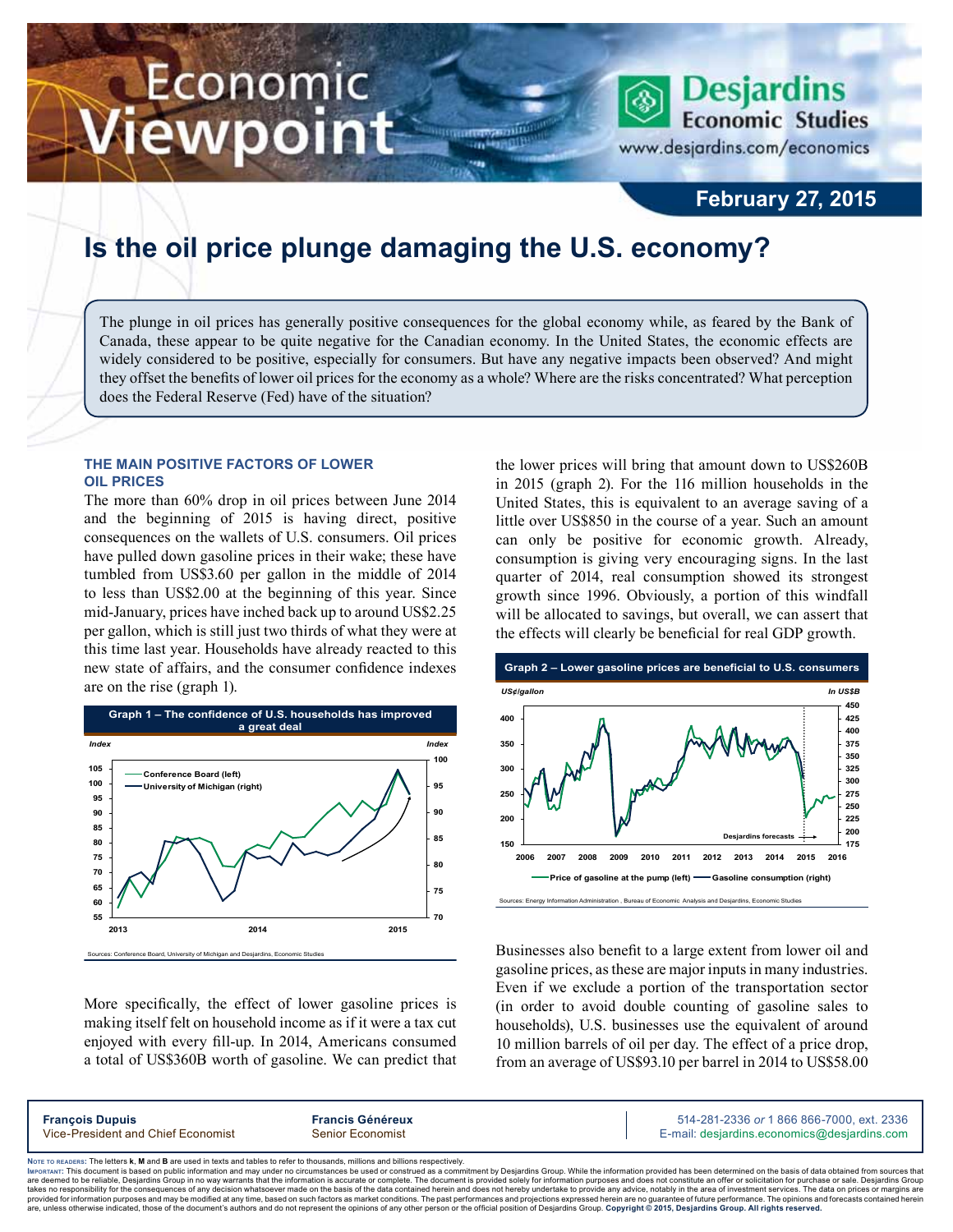# Economic ewpoint

**February 27, 2015**

**Desjardins** 

www.desjardins.com/economics

**Economic Studies** 

## **Is the oil price plunge damaging the U.S. economy?**

The plunge in oil prices has generally positive consequences for the global economy while, as feared by the Bank of Canada, these appear to be quite negative for the Canadian economy. In the United States, the economic effects are widely considered to be positive, especially for consumers. But have any negative impacts been observed? And might they offset the benefits of lower oil prices for the economy as a whole? Where are the risks concentrated? What perception does the Federal Reserve (Fed) have of the situation?

,,,

#### **The main positive factors of lower oil prices**

The more than 60% drop in oil prices between June 2014 and the beginning of 2015 is having direct, positive consequences on the wallets of U.S. consumers. Oil prices have pulled down gasoline prices in their wake; these have tumbled from US\$3.60 per gallon in the middle of 2014 to less than US\$2.00 at the beginning of this year. Since mid‑January, prices have inched back up to around US\$2.25 per gallon, which is still just two thirds of what they were at this time last year. Households have already reacted to this new state of affairs, and the consumer confidence indexes are on the rise (graph 1).



More specifically, the effect of lower gasoline prices is making itself felt on household income as if it were a tax cut enjoyed with every fill-up. In 2014, Americans consumed a total of US\$360B worth of gasoline. We can predict that the lower prices will bring that amount down to US\$260B in 2015 (graph 2). For the 116 million households in the United States, this is equivalent to an average saving of a little over US\$850 in the course of a year. Such an amount can only be positive for economic growth. Already, consumption is giving very encouraging signs. In the last quarter of 2014, real consumption showed its strongest growth since 1996. Obviously, a portion of this windfall will be allocated to savings, but overall, we can assert that the effects will clearly be beneficial for real GDP growth.



Businesses also benefit to a large extent from lower oil and gasoline prices, as these are major inputs in many industries. Even if we exclude a portion of the transportation sector (in order to avoid double counting of gasoline sales to households), U.S. businesses use the equivalent of around 10 million barrels of oil per day. The effect of a price drop, from an average of US\$93.10 per barrel in 2014 to US\$58.00

| <b>François Dupuis</b>             | <b>Francis Généreux</b> | 514-281-2336 or 1 866 866-7000, ext. 2336   |
|------------------------------------|-------------------------|---------------------------------------------|
| Vice-President and Chief Economist | Senior Economist        | E-mail: desjardins.economics@desjardins.com |
|                                    |                         |                                             |

Noте то келоекs: The letters **k, M** and **B** are used in texts and tables to refer to thousands, millions and billions respectively.<br>Імроктлит: This document is based on public information and may under no circumstances be are deemed to be reliable. Desiardins Group in no way warrants that the information is accurate or complete. The document is provided solely for information purposes and does not constitute an offer or solicitation for pur takes no responsibility for the consequences of any decision whatsoever made on the basis of the data contained herein and does not hereby undertake to provide any advice, notably in the area of investment services. The da .<br>are, unless otherwise indicated, those of the document's authors and do not represent the opinions of any other person or the official position of Desjardins Group. Copyright © 2015, Desjardins Group. All rights reserve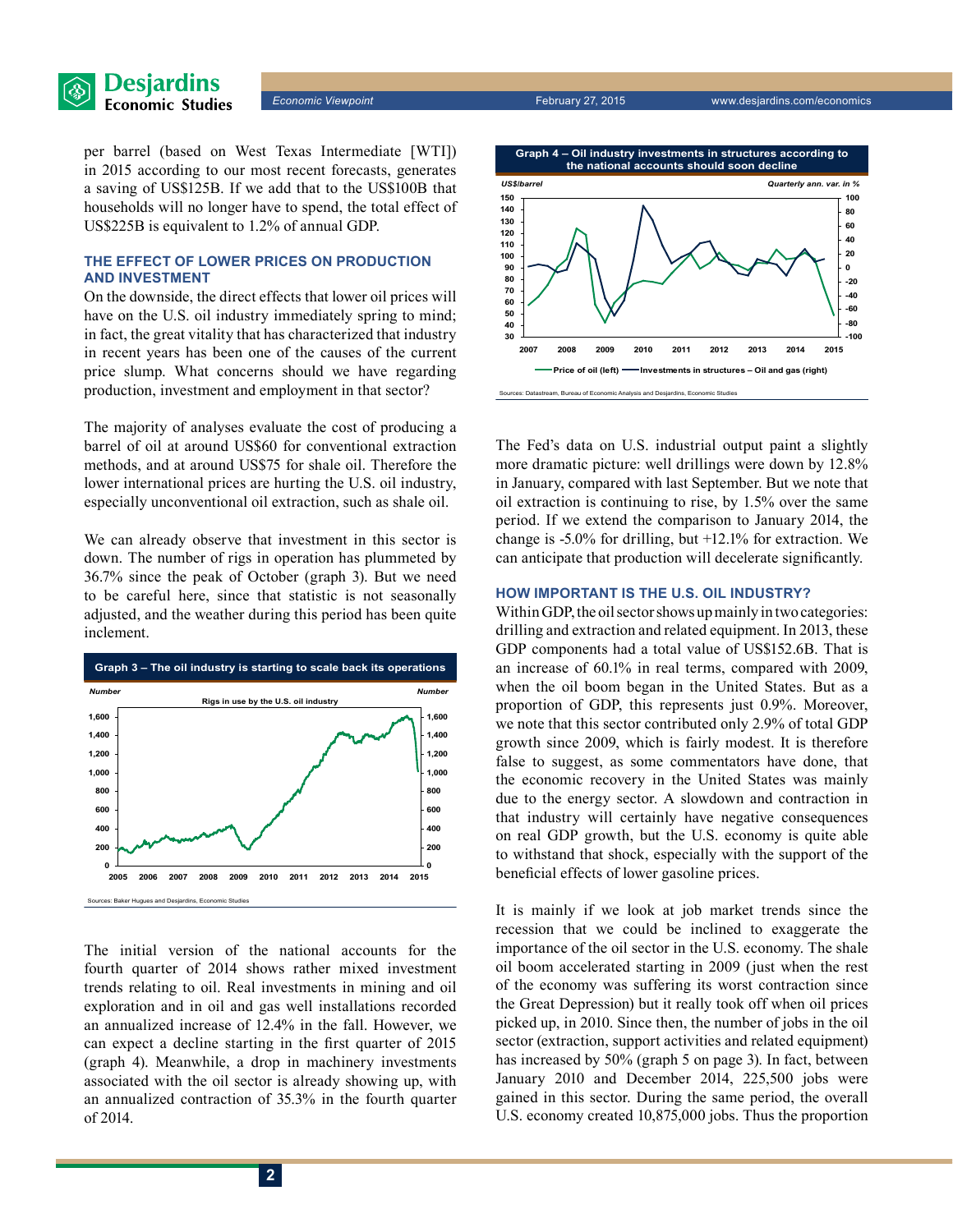

per barrel (based on West Texas Intermediate [WTI]) in 2015 according to our most recent forecasts, generates a saving of US\$125B. If we add that to the US\$100B that households will no longer have to spend, the total effect of US\$225B is equivalent to 1.2% of annual GDP.

### **The effect of lower prices on production and investment**

On the downside, the direct effects that lower oil prices will have on the U.S. oil industry immediately spring to mind; in fact, the great vitality that has characterized that industry in recent years has been one of the causes of the current price slump. What concerns should we have regarding production, investment and employment in that sector?

The majority of analyses evaluate the cost of producing a barrel of oil at around US\$60 for conventional extraction methods, and at around US\$75 for shale oil. Therefore the lower international prices are hurting the U.S. oil industry, especially unconventional oil extraction, such as shale oil.

We can already observe that investment in this sector is down. The number of rigs in operation has plummeted by 36.7% since the peak of October (graph 3). But we need to be careful here, since that statistic is not seasonally adjusted, and the weather during this period has been quite inclement.



The initial version of the national accounts for the fourth quarter of 2014 shows rather mixed investment trends relating to oil. Real investments in mining and oil exploration and in oil and gas well installations recorded an annualized increase of 12.4% in the fall. However, we can expect a decline starting in the first quarter of 2015 (graph 4). Meanwhile, a drop in machinery investments associated with the oil sector is already showing up, with an annualized contraction of 35.3% in the fourth quarter of 2014.



The Fed's data on U.S. industrial output paint a slightly more dramatic picture: well drillings were down by 12.8% in January, compared with last September. But we note that oil extraction is continuing to rise, by 1.5% over the same period. If we extend the comparison to January 2014, the change is -5.0% for drilling, but +12.1% for extraction. We can anticipate that production will decelerate significantly.

#### **How important is the U.S. oil industry?**

Within GDP, the oil sector shows up mainly in two categories: drilling and extraction and related equipment. In 2013, these GDP components had a total value of US\$152.6B. That is an increase of 60.1% in real terms, compared with 2009, when the oil boom began in the United States. But as a proportion of GDP, this represents just 0.9%. Moreover, we note that this sector contributed only 2.9% of total GDP growth since 2009, which is fairly modest. It is therefore false to suggest, as some commentators have done, that the economic recovery in the United States was mainly due to the energy sector. A slowdown and contraction in that industry will certainly have negative consequences on real GDP growth, but the U.S. economy is quite able to withstand that shock, especially with the support of the beneficial effects of lower gasoline prices.

It is mainly if we look at job market trends since the recession that we could be inclined to exaggerate the importance of the oil sector in the U.S. economy. The shale oil boom accelerated starting in 2009 (just when the rest of the economy was suffering its worst contraction since the Great Depression) but it really took off when oil prices picked up, in 2010. Since then, the number of jobs in the oil sector (extraction, support activities and related equipment) has increased by 50% (graph 5 on page 3). In fact, between January 2010 and December 2014, 225,500 jobs were gained in this sector. During the same period, the overall U.S. economy created 10,875,000 jobs. Thus the proportion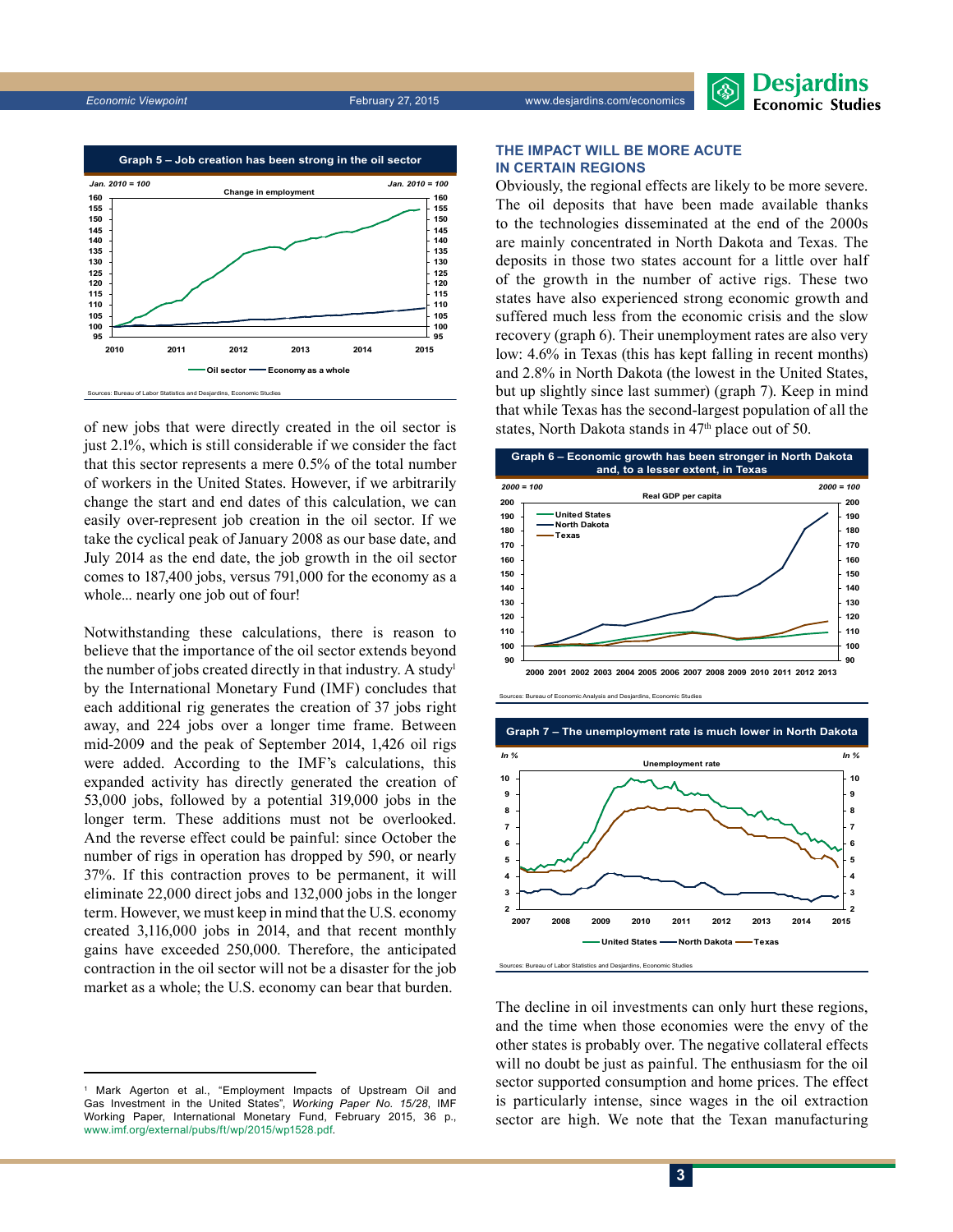



of new jobs that were directly created in the oil sector is just 2.1%, which is still considerable if we consider the fact that this sector represents a mere 0.5% of the total number of workers in the United States. However, if we arbitrarily change the start and end dates of this calculation, we can easily over-represent job creation in the oil sector. If we take the cyclical peak of January 2008 as our base date, and July 2014 as the end date, the job growth in the oil sector comes to 187,400 jobs, versus 791,000 for the economy as a whole... nearly one job out of four!

Notwithstanding these calculations, there is reason to believe that the importance of the oil sector extends beyond the number of jobs created directly in that industry. A study<sup>1</sup> by the International Monetary Fund (IMF) concludes that each additional rig generates the creation of 37 jobs right away, and 224 jobs over a longer time frame. Between mid‑2009 and the peak of September 2014, 1,426 oil rigs were added. According to the IMF's calculations, this expanded activity has directly generated the creation of 53,000 jobs, followed by a potential 319,000 jobs in the longer term. These additions must not be overlooked. And the reverse effect could be painful: since October the number of rigs in operation has dropped by 590, or nearly 37%. If this contraction proves to be permanent, it will eliminate 22,000 direct jobs and 132,000 jobs in the longer term. However, we must keep in mind that the U.S. economy created 3,116,000 jobs in 2014, and that recent monthly gains have exceeded 250,000. Therefore, the anticipated contraction in the oil sector will not be a disaster for the job market as a whole; the U.S. economy can bear that burden.

#### **The impact will be more acute in certain regions**

Obviously, the regional effects are likely to be more severe. The oil deposits that have been made available thanks to the technologies disseminated at the end of the 2000s are mainly concentrated in North Dakota and Texas. The deposits in those two states account for a little over half of the growth in the number of active rigs. These two states have also experienced strong economic growth and suffered much less from the economic crisis and the slow recovery (graph 6). Their unemployment rates are also very low: 4.6% in Texas (this has kept falling in recent months) and 2.8% in North Dakota (the lowest in the United States, but up slightly since last summer) (graph 7). Keep in mind that while Texas has the second-largest population of all the states, North Dakota stands in 47<sup>th</sup> place out of 50.







The decline in oil investments can only hurt these regions, and the time when those economies were the envy of the other states is probably over. The negative collateral effects will no doubt be just as painful. The enthusiasm for the oil sector supported consumption and home prices. The effect is particularly intense, since wages in the oil extraction sector are high. We note that the Texan manufacturing

<sup>1</sup> Mark Agerton et al., "Employment Impacts of Upstream Oil and Gas Investment in the United States", *Working Paper No. 15/28*, IMF Working Paper, International Monetary Fund, February 2015, 36 p., [www.imf.org/external/pubs/ft/wp/2015/wp1528.pdf.](http://www.imf.org/external/pubs/ft/wp/2015/wp1528.pdf)